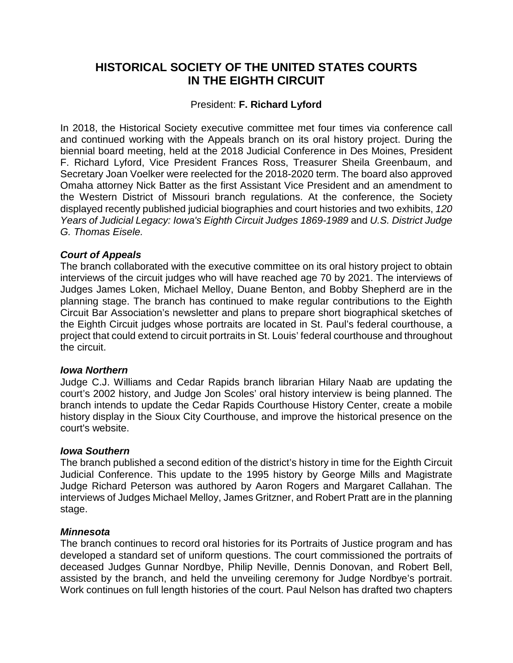# **HISTORICAL SOCIETY OF THE UNITED STATES COURTS IN THE EIGHTH CIRCUIT**

# President: **F. Richard Lyford**

In 2018, the Historical Society executive committee met four times via conference call and continued working with the Appeals branch on its oral history project. During the biennial board meeting, held at the 2018 Judicial Conference in Des Moines, President F. Richard Lyford, Vice President Frances Ross, Treasurer Sheila Greenbaum, and Secretary Joan Voelker were reelected for the 2018-2020 term. The board also approved Omaha attorney Nick Batter as the first Assistant Vice President and an amendment to the Western District of Missouri branch regulations. At the conference, the Society displayed recently published judicial biographies and court histories and two exhibits, *120 Years of Judicial Legacy: Iowa's Eighth Circuit Judges 1869-1989* and *U.S. District Judge G. Thomas Eisele.*

# *Court of Appeals*

The branch collaborated with the executive committee on its oral history project to obtain interviews of the circuit judges who will have reached age 70 by 2021. The interviews of Judges James Loken, Michael Melloy, Duane Benton, and Bobby Shepherd are in the planning stage. The branch has continued to make regular contributions to the Eighth Circuit Bar Association's newsletter and plans to prepare short biographical sketches of the Eighth Circuit judges whose portraits are located in St. Paul's federal courthouse, a project that could extend to circuit portraits in St. Louis' federal courthouse and throughout the circuit.

### *Iowa Northern*

Judge C.J. Williams and Cedar Rapids branch librarian Hilary Naab are updating the court's 2002 history, and Judge Jon Scoles' oral history interview is being planned. The branch intends to update the Cedar Rapids Courthouse History Center, create a mobile history display in the Sioux City Courthouse, and improve the historical presence on the court's website.

### *Iowa Southern*

The branch published a second edition of the district's history in time for the Eighth Circuit Judicial Conference. This update to the 1995 history by George Mills and Magistrate Judge Richard Peterson was authored by Aaron Rogers and Margaret Callahan. The interviews of Judges Michael Melloy, James Gritzner, and Robert Pratt are in the planning stage.

### *Minnesota*

The branch continues to record oral histories for its Portraits of Justice program and has developed a standard set of uniform questions. The court commissioned the portraits of deceased Judges Gunnar Nordbye, Philip Neville, Dennis Donovan, and Robert Bell, assisted by the branch, and held the unveiling ceremony for Judge Nordbye's portrait. Work continues on full length histories of the court. Paul Nelson has drafted two chapters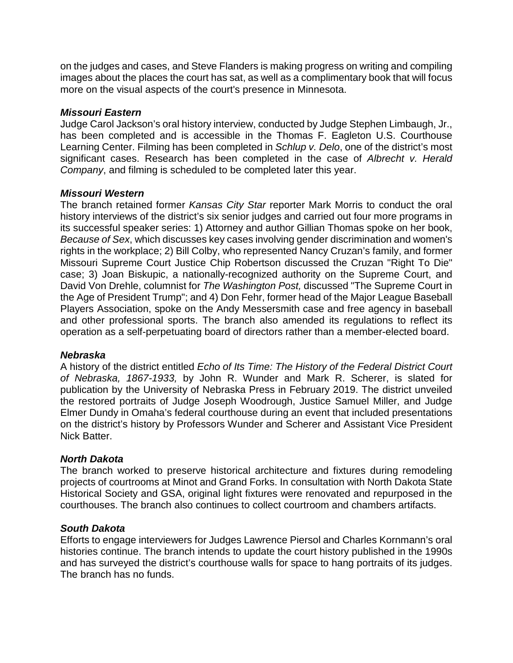on the judges and cases, and Steve Flanders is making progress on writing and compiling images about the places the court has sat, as well as a complimentary book that will focus more on the visual aspects of the court's presence in Minnesota.

### *Missouri Eastern*

Judge Carol Jackson's oral history interview, conducted by Judge Stephen Limbaugh, Jr., has been completed and is accessible in the Thomas F. Eagleton U.S. Courthouse Learning Center. Filming has been completed in *Schlup v. Delo*, one of the district's most significant cases. Research has been completed in the case of *Albrecht v. Herald Company*, and filming is scheduled to be completed later this year.

### *Missouri Western*

The branch retained former *Kansas City Star* reporter Mark Morris to conduct the oral history interviews of the district's six senior judges and carried out four more programs in its successful speaker series: 1) Attorney and author Gillian Thomas spoke on her book, *Because of Sex*, which discusses key cases involving gender discrimination and women's rights in the workplace; 2) Bill Colby, who represented Nancy Cruzan's family, and former Missouri Supreme Court Justice Chip Robertson discussed the Cruzan "Right To Die" case; 3) Joan Biskupic, a nationally-recognized authority on the Supreme Court, and David Von Drehle, columnist for *The Washington Post,* discussed "The Supreme Court in the Age of President Trump"; and 4) Don Fehr, former head of the Major League Baseball Players Association, spoke on the Andy Messersmith case and free agency in baseball and other professional sports. The branch also amended its regulations to reflect its operation as a self-perpetuating board of directors rather than a member-elected board.

### *Nebraska*

A history of the district entitled *Echo of Its Time: The History of the Federal District Court of Nebraska, 1867-1933,* by John R. Wunder and Mark R. Scherer, is slated for publication by the University of Nebraska Press in February 2019. The district unveiled the restored portraits of Judge Joseph Woodrough, Justice Samuel Miller, and Judge Elmer Dundy in Omaha's federal courthouse during an event that included presentations on the district's history by Professors Wunder and Scherer and Assistant Vice President Nick Batter.

### *North Dakota*

The branch worked to preserve historical architecture and fixtures during remodeling projects of courtrooms at Minot and Grand Forks. In consultation with North Dakota State Historical Society and GSA, original light fixtures were renovated and repurposed in the courthouses. The branch also continues to collect courtroom and chambers artifacts.

### *South Dakota*

Efforts to engage interviewers for Judges Lawrence Piersol and Charles Kornmann's oral histories continue. The branch intends to update the court history published in the 1990s and has surveyed the district's courthouse walls for space to hang portraits of its judges. The branch has no funds.